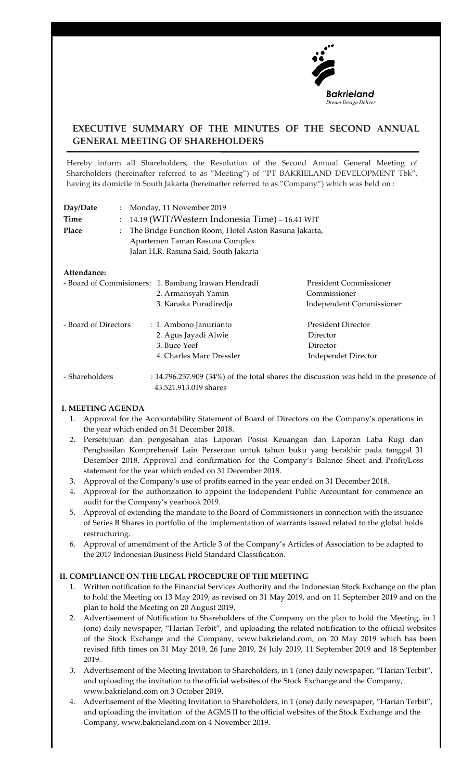

# **EXECUTIVE SUMMARY OF THE MINUTES OF THE SECOND ANNUAL GENERAL MEETING OF SHAREHOLDERS**

Hereby inform all Shareholders, the Resolution of the Second Annual General Meeting of Shareholders (hereinafter referred to as "Meeting") of "PT BAKRIELAND DEVELOPMENT Tbk", having its domicile in South Jakarta (hereinafter referred to as "Company") which was held on :

| Day/Date             |                           | : Monday, 11 November 2019                                                                                                       |                                                                                             |  |
|----------------------|---------------------------|----------------------------------------------------------------------------------------------------------------------------------|---------------------------------------------------------------------------------------------|--|
| Time                 | $\mathbb{Z}^{\mathbb{Z}}$ | 14.19 (WIT/Western Indonesia Time) – 16.41 WIT                                                                                   |                                                                                             |  |
| Place                | $\mathbb{R}^{\mathbb{Z}}$ | The Bridge Function Room, Hotel Aston Rasuna Jakarta,<br>Apartemen Taman Rasuna Complex<br>Jalan H.R. Rasuna Said, South Jakarta |                                                                                             |  |
| Attendance:          |                           |                                                                                                                                  |                                                                                             |  |
|                      |                           | - Board of Commisioners: 1. Bambang Irawan Hendradi                                                                              | <b>President Commissioner</b>                                                               |  |
|                      |                           | 2. Armansyah Yamin                                                                                                               | Commissioner                                                                                |  |
|                      |                           | 3. Kanaka Puradiredja                                                                                                            | <b>Independent Commissioner</b>                                                             |  |
| - Board of Directors |                           | : 1. Ambono Janurianto                                                                                                           | <b>President Director</b>                                                                   |  |
|                      |                           | 2. Agus Jayadi Alwie                                                                                                             | Director                                                                                    |  |
|                      |                           | 3. Buce Yeef                                                                                                                     | Director                                                                                    |  |
|                      |                           | 4. Charles Marc Dressler                                                                                                         | <b>Independet Director</b>                                                                  |  |
| Sharoholdore         |                           |                                                                                                                                  | $\cdot$ 14.796.257.909 (24%) of the total charge the discussion was hold in the presence of |  |

 - Shareholders : 14.796.257.909 (34%) of the total shares the discussion was held in the presence of 43.521.913.019 shares

# **I. MEETING AGENDA**

- 1. Approval for the Accountability Statement of Board of Directors on the Company's operations in the year which ended on 31 December 2018.
- 2. Persetujuan dan pengesahan atas Laporan Posisi Keuangan dan Laporan Laba Rugi dan Penghasilan Komprehensif Lain Perseroan untuk tahun buku yang berakhir pada tanggal 31 Desember 2018. Approval and confirmation for the Company's Balance Sheet and Profit/Loss statement for the year which ended on 31 December 2018.
- 3. Approval of the Company's use of profits earned in the year ended on 31 December 2018.
- 4. Approval for the authorization to appoint the Independent Public Accountant for commence an audit for the Company's yearbook 2019.
- 5. Approval of extending the mandate to the Board of Commissioners in connection with the issuance of Series B Shares in portfolio of the implementation of warrants issued related to the global bolds restructuring.
- 6. Approval of amendment of the Article 3 of the Company's Articles of Association to be adapted to the 2017 Indonesian Business Field Standard Classification.

#### **II. COMPLIANCE ON THE LEGAL PROCEDURE OF THE MEETING**

- 1. Written notification to the Financial Services Authority and the Indonesian Stock Exchange on the plan to hold the Meeting on 13 May 2019, as revised on 31 May 2019, and on 11 September 2019 and on the plan to hold the Meeting on 20 August 2019.
- 2. Advertisement of Notification to Shareholders of the Company on the plan to hold the Meeting, in 1 (one) daily newspaper, "Harian Terbit", and uploading the related notification to the official websites of the Stock Exchange and the Company, www.bakrieland.com, on 20 May 2019 which has been revised fifth times on 31 May 2019, 26 June 2019, 24 July 2019, 11 September 2019 and 18 September 2019.
- 3. Advertisement of the Meeting Invitation to Shareholders, in 1 (one) daily newspaper, "Harian Terbit", and uploading the invitation to the official websites of the Stock Exchange and the Company, www.bakrieland.com on 3 October 2019.
- 4. Advertisement of the Meeting Invitation to Shareholders, in 1 (one) daily newspaper, "Harian Terbit", and uploading the invitation of the AGMS II to the official websites of the Stock Exchange and the Company, www.bakrieland.com on 4 November 2019.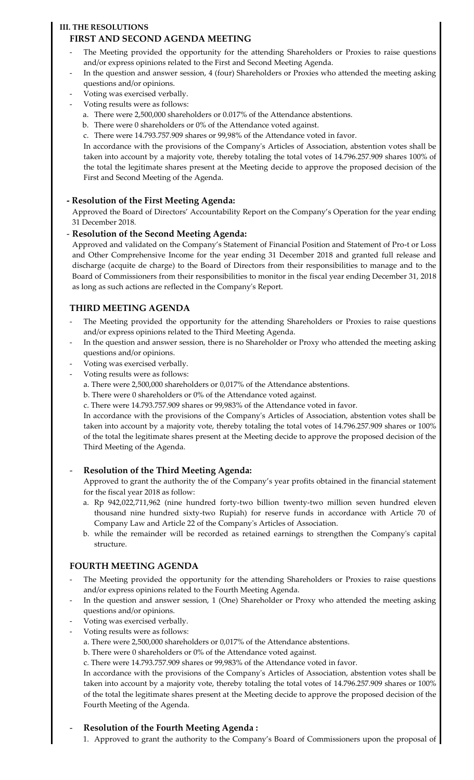#### **III. THE RESOLUTIONS**

# **FIRST AND SECOND AGENDA MEETING**

- The Meeting provided the opportunity for the attending Shareholders or Proxies to raise questions and/or express opinions related to the First and Second Meeting Agenda.
- In the question and answer session, 4 (four) Shareholders or Proxies who attended the meeting asking questions and/or opinions.
- Voting was exercised verbally.
- Voting results were as follows:
	- a. There were 2,500,000 shareholders or 0.017% of the Attendance abstentions.
	- b. There were 0 shareholders or 0% of the Attendance voted against.
	- c. There were 14.793.757.909 shares or 99,98% of the Attendance voted in favor.

In accordance with the provisions of the Company's Articles of Association, abstention votes shall be taken into account by a majority vote, thereby totaling the total votes of 14.796.257.909 shares 100% of the total the legitimate shares present at the Meeting decide to approve the proposed decision of the First and Second Meeting of the Agenda.

# **- Resolution of the First Meeting Agenda:**

Approved the Board of Directors' Accountability Report on the Company's Operation for the year ending 31 December 2018.

#### - **Resolution of the Second Meeting Agenda:**

Approved and validated on the Company's Statement of Financial Position and Statement of Pro-t or Loss and Other Comprehensive Income for the year ending 31 December 2018 and granted full release and discharge (acquite de charge) to the Board of Directors from their responsibilities to manage and to the Board of Commissioners from their responsibilities to monitor in the fiscal year ending December 31, 2018 as long as such actions are reflected in the Company's Report.

# **THIRD MEETING AGENDA**

- The Meeting provided the opportunity for the attending Shareholders or Proxies to raise questions and/or express opinions related to the Third Meeting Agenda.
- In the question and answer session, there is no Shareholder or Proxy who attended the meeting asking questions and/or opinions.
- Voting was exercised verbally.
- Voting results were as follows:
	- a. There were 2,500,000 shareholders or 0,017% of the Attendance abstentions.
	- b. There were 0 shareholders or 0% of the Attendance voted against.
	- c. There were 14.793.757.909 shares or 99,983% of the Attendance voted in favor.

In accordance with the provisions of the Company's Articles of Association, abstention votes shall be taken into account by a majority vote, thereby totaling the total votes of 14.796.257.909 shares or 100% of the total the legitimate shares present at the Meeting decide to approve the proposed decision of the Third Meeting of the Agenda.

#### - **Resolution of the Third Meeting Agenda:**

Approved to grant the authority the of the Company's year profits obtained in the financial statement for the fiscal year 2018 as follow:

- a. Rp 942,022,711,962 (nine hundred forty-two billion twenty-two million seven hundred eleven thousand nine hundred sixty-two Rupiah) for reserve funds in accordance with Article 70 of Company Law and Article 22 of the Company's Articles of Association.
- b. while the remainder will be recorded as retained earnings to strengthen the Company's capital structure.

# **FOURTH MEETING AGENDA**

- The Meeting provided the opportunity for the attending Shareholders or Proxies to raise questions and/or express opinions related to the Fourth Meeting Agenda.
- In the question and answer session, 1 (One) Shareholder or Proxy who attended the meeting asking questions and/or opinions.
- Voting was exercised verbally.
	- Voting results were as follows:
		- a. There were 2,500,000 shareholders or 0,017% of the Attendance abstentions.
		- b. There were 0 shareholders or 0% of the Attendance voted against.
		- c. There were 14.793.757.909 shares or 99,983% of the Attendance voted in favor.

In accordance with the provisions of the Company's Articles of Association, abstention votes shall be taken into account by a majority vote, thereby totaling the total votes of 14.796.257.909 shares or 100% of the total the legitimate shares present at the Meeting decide to approve the proposed decision of the Fourth Meeting of the Agenda.

# - **Resolution of the Fourth Meeting Agenda :**

1. Approved to grant the authority to the Company's Board of Commissioners upon the proposal of